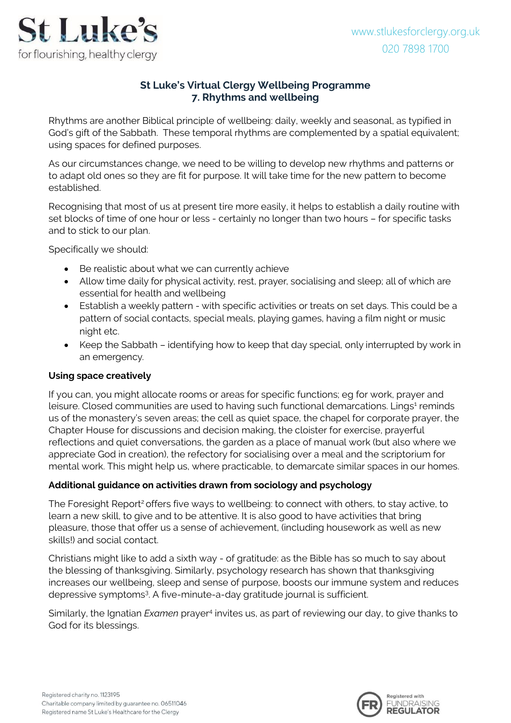

# **St Luke's Virtual Clergy Wellbeing Programme 7. Rhythms and wellbeing**

Rhythms are another Biblical principle of wellbeing: daily, weekly and seasonal, as typified in God's gift of the Sabbath. These temporal rhythms are complemented by a spatial equivalent; using spaces for defined purposes.

As our circumstances change, we need to be willing to develop new rhythms and patterns or to adapt old ones so they are fit for purpose. It will take time for the new pattern to become established.

Recognising that most of us at present tire more easily, it helps to establish a daily routine with set blocks of time of one hour or less - certainly no longer than two hours – for specific tasks and to stick to our plan.

Specifically we should:

- Be realistic about what we can currently achieve
- Allow time daily for physical activity, rest, prayer, socialising and sleep; all of which are essential for health and wellbeing
- Establish a weekly pattern with specific activities or treats on set days. This could be a pattern of social contacts, special meals, playing games, having a film night or music night etc.
- Keep the Sabbath identifying how to keep that day special, only interrupted by work in an emergency.

### **Using space creatively**

If you can, you might allocate rooms or areas for specific functions; eg for work, prayer and leisure. Closed communities are used to having such functional demarcations. Lings<sup>1</sup> reminds us of the monastery's seven areas; the cell as quiet space, the chapel for corporate prayer, the Chapter House for discussions and decision making, the cloister for exercise, prayerful reflections and quiet conversations, the garden as a place of manual work (but also where we appreciate God in creation), the refectory for socialising over a meal and the scriptorium for mental work. This might help us, where practicable, to demarcate similar spaces in our homes.

# **Additional guidance on activities drawn from sociology and psychology**

The Foresight Report<sup>2</sup> offers five ways to wellbeing: to connect with others, to stay active, to learn a new skill, to give and to be attentive. It is also good to have activities that bring pleasure, those that offer us a sense of achievement, (including housework as well as new skills!) and social contact.

Christians might like to add a sixth way - of gratitude: as the Bible has so much to say about the blessing of thanksgiving. Similarly, psychology research has shown that thanksgiving increases our wellbeing, sleep and sense of purpose, boosts our immune system and reduces depressive symptoms<sup>3</sup>. A five-minute-a-day gratitude journal is sufficient.

Similarly, the Ignatian *Examen* prayer<sup>4</sup> invites us, as part of reviewing our day, to give thanks to God for its blessings.

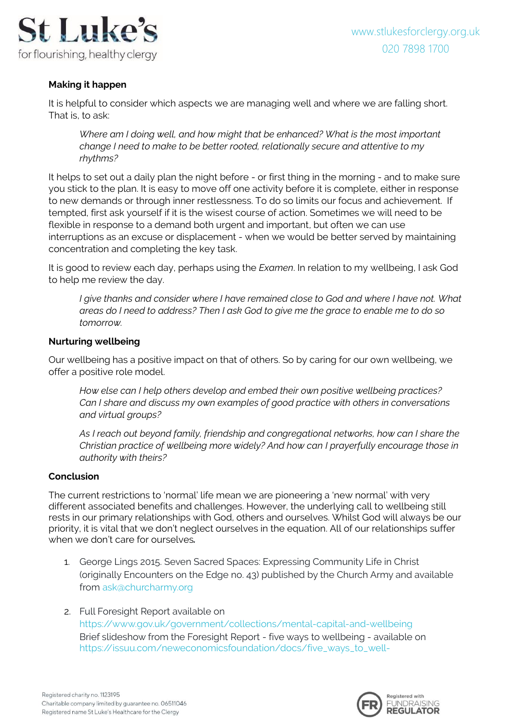

## **Making it happen**

It is helpful to consider which aspects we are managing well and where we are falling short. That is, to ask:

*Where am I doing well, and how might that be enhanced? What is the most important change I need to make to be better rooted, relationally secure and attentive to my rhythms?*

It helps to set out a daily plan the night before - or first thing in the morning - and to make sure you stick to the plan. It is easy to move off one activity before it is complete, either in response to new demands or through inner restlessness. To do so limits our focus and achievement. If tempted, first ask yourself if it is the wisest course of action. Sometimes we will need to be flexible in response to a demand both urgent and important, but often we can use interruptions as an excuse or displacement - when we would be better served by maintaining concentration and completing the key task.

It is good to review each day, perhaps using the *Examen*. In relation to my wellbeing, I ask God to help me review the day.

*I give thanks and consider where I have remained close to God and where I have not. What areas do I need to address? Then I ask God to give me the grace to enable me to do so tomorrow.* 

### **Nurturing wellbeing**

Our wellbeing has a positive impact on that of others. So by caring for our own wellbeing, we offer a positive role model.

*How else can I help others develop and embed their own positive wellbeing practices? Can I share and discuss my own examples of good practice with others in conversations and virtual groups?*

*As I reach out beyond family, friendship and congregational networks, how can I share the Christian practice of wellbeing more widely? And how can I prayerfully encourage those in authority with theirs?* 

#### **Conclusion**

The current restrictions to 'normal' life mean we are pioneering a 'new normal' with very different associated benefits and challenges. However, the underlying call to wellbeing still rests in our primary relationships with God, others and ourselves. Whilst God will always be our priority, it is vital that we don't neglect ourselves in the equation. All of our relationships suffer when we don't care for ourselves*.*

- 1. George Lings 2015. Seven Sacred Spaces: Expressing Community Life in Christ (originally Encounters on the Edge no. 43) published by the Church Army and available from [ask@churcharmy.org](mailto:ask@churcharmy.org)
- 2. Full Foresight Report available on <https://www.gov.uk/government/collections/mental-capital-and-wellbeing> Brief slideshow from the Foresight Report - five ways to wellbeing - available on [https://issuu.com/neweconomicsfoundation/docs/five\\_ways\\_to\\_well-](https://issuu.com/neweconomicsfoundation/docs/five_ways_to_well-being?viewMode=presentation)